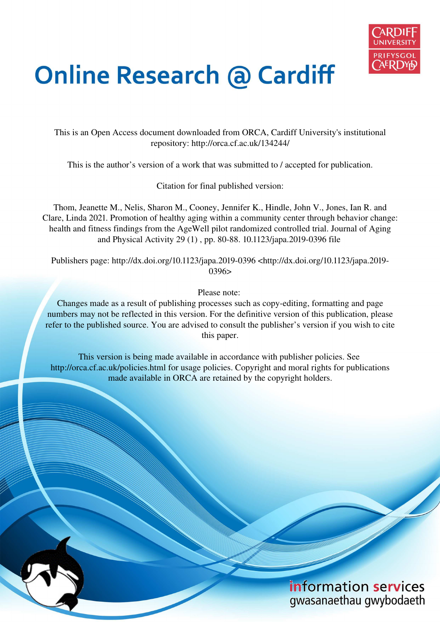

# **Online Research @ Cardiff**

This is an Open Access document downloaded from ORCA, Cardiff University's institutional repository: http://orca.cf.ac.uk/134244/

This is the author's version of a work that was submitted to / accepted for publication.

Citation for final published version:

Thom, Jeanette M., Nelis, Sharon M., Cooney, Jennifer K., Hindle, John V., Jones, Ian R. and Clare, Linda 2021. Promotion of healthy aging within a community center through behavior change: health and fitness findings from the AgeWell pilot randomized controlled trial. Journal of Aging and Physical Activity 29 (1) , pp. 80-88. 10.1123/japa.2019-0396 file

Publishers page: http://dx.doi.org/10.1123/japa.2019-0396 <http://dx.doi.org/10.1123/japa.2019- 0396>

Please note:

Changes made as a result of publishing processes such as copy-editing, formatting and page numbers may not be reflected in this version. For the definitive version of this publication, please refer to the published source. You are advised to consult the publisher's version if you wish to cite this paper.

This version is being made available in accordance with publisher policies. See http://orca.cf.ac.uk/policies.html for usage policies. Copyright and moral rights for publications made available in ORCA are retained by the copyright holders.

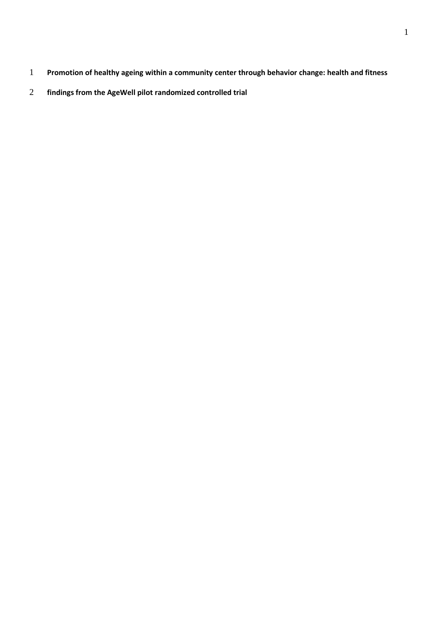- **Promotion of healthy ageing within a community center through behavior change: health and fitness**
- **findings from the AgeWell pilot randomized controlled trial**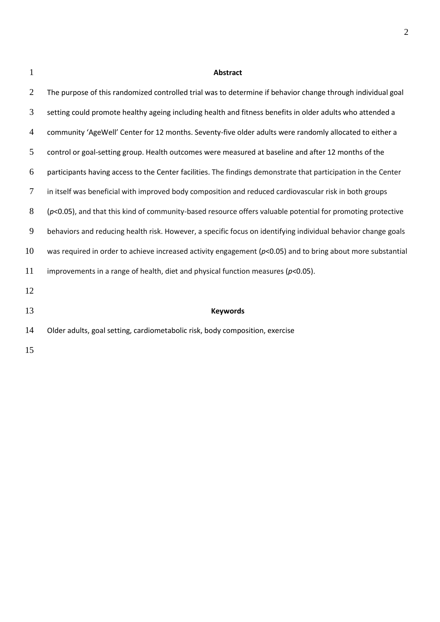## **Abstract**

| 2  | The purpose of this randomized controlled trial was to determine if behavior change through individual goal     |
|----|-----------------------------------------------------------------------------------------------------------------|
| 3  | setting could promote healthy ageing including health and fitness benefits in older adults who attended a       |
| 4  | community 'AgeWell' Center for 12 months. Seventy-five older adults were randomly allocated to either a         |
| 5  | control or goal-setting group. Health outcomes were measured at baseline and after 12 months of the             |
| 6  | participants having access to the Center facilities. The findings demonstrate that participation in the Center  |
| 7  | in itself was beneficial with improved body composition and reduced cardiovascular risk in both groups          |
| 8  | $(p<0.05)$ , and that this kind of community-based resource offers valuable potential for promoting protective  |
| 9  | behaviors and reducing health risk. However, a specific focus on identifying individual behavior change goals   |
| 10 | was required in order to achieve increased activity engagement ( $p$ <0.05) and to bring about more substantial |
| 11 | improvements in a range of health, diet and physical function measures ( $p$ <0.05).                            |
| 12 |                                                                                                                 |
| 13 | <b>Keywords</b>                                                                                                 |
| 14 | Older adults, goal setting, cardiometabolic risk, body composition, exercise                                    |
|    |                                                                                                                 |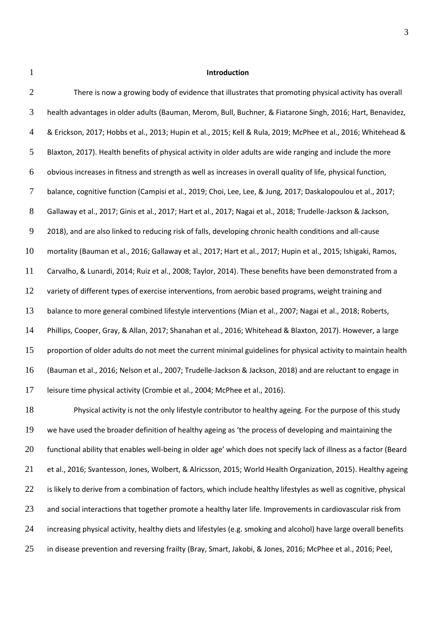#### **Introduction**

| There is now a growing body of evidence that illustrates that promoting physical activity has overall          |
|----------------------------------------------------------------------------------------------------------------|
| health advantages in older adults (Bauman, Merom, Bull, Buchner, & Fiatarone Singh, 2016; Hart, Benavidez,     |
| & Erickson, 2017; Hobbs et al., 2013; Hupin et al., 2015; Kell & Rula, 2019; McPhee et al., 2016; Whitehead &  |
| Blaxton, 2017). Health benefits of physical activity in older adults are wide ranging and include the more     |
| obvious increases in fitness and strength as well as increases in overall quality of life, physical function,  |
| balance, cognitive function (Campisi et al., 2019; Choi, Lee, Lee, & Jung, 2017; Daskalopoulou et al., 2017;   |
| Gallaway et al., 2017; Ginis et al., 2017; Hart et al., 2017; Nagai et al., 2018; Trudelle-Jackson & Jackson,  |
| 2018), and are also linked to reducing risk of falls, developing chronic health conditions and all-cause       |
| mortality (Bauman et al., 2016; Gallaway et al., 2017; Hart et al., 2017; Hupin et al., 2015; Ishigaki, Ramos, |
| Carvalho, & Lunardi, 2014; Ruiz et al., 2008; Taylor, 2014). These benefits have been demonstrated from a      |
| variety of different types of exercise interventions, from aerobic based programs, weight training and         |
| balance to more general combined lifestyle interventions (Mian et al., 2007; Nagai et al., 2018; Roberts,      |
| Phillips, Cooper, Gray, & Allan, 2017; Shanahan et al., 2016; Whitehead & Blaxton, 2017). However, a large     |
| proportion of older adults do not meet the current minimal guidelines for physical activity to maintain health |
| (Bauman et al., 2016; Nelson et al., 2007; Trudelle-Jackson & Jackson, 2018) and are reluctant to engage in    |
| leisure time physical activity (Crombie et al., 2004; McPhee et al., 2016).                                    |
| Physical activity is not the only lifestyle contributor to healthy ageing. For the purpose of this study       |
|                                                                                                                |

19 we have used the broader definition of healthy ageing as 'the process of developing and maintaining the 20 functional ability that enables well-being in older age' which does not specify lack of illness as a factor (Beard et al., 2016; Svantesson, Jones, Wolbert, & Alricsson, 2015; World Health Organization, 2015). Healthy ageing 22 is likely to derive from a combination of factors, which include healthy lifestyles as well as cognitive, physical 23 and social interactions that together promote a healthy later life. Improvements in cardiovascular risk from increasing physical activity, healthy diets and lifestyles (e.g. smoking and alcohol) have large overall benefits in disease prevention and reversing frailty (Bray, Smart, Jakobi, & Jones, 2016; McPhee et al., 2016; Peel,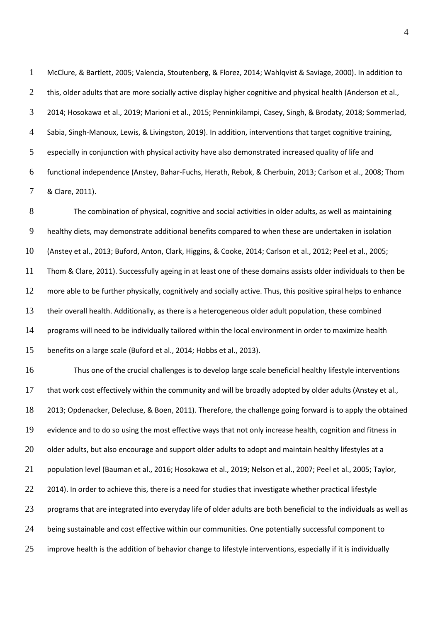2 this, older adults that are more socially active display higher cognitive and physical health (Anderson et al., 2014; Hosokawa et al., 2019; Marioni et al., 2015; Penninkilampi, Casey, Singh, & Brodaty, 2018; Sommerlad, Sabia, Singh-Manoux, Lewis, & Livingston, 2019). In addition, interventions that target cognitive training, especially in conjunction with physical activity have also demonstrated increased quality of life and functional independence (Anstey, Bahar-Fuchs, Herath, Rebok, & Cherbuin, 2013; Carlson et al., 2008; Thom & Clare, 2011).

McClure, & Bartlett, 2005; Valencia, Stoutenberg, & Florez, 2014; Wahlqvist & Saviage, 2000). In addition to

The combination of physical, cognitive and social activities in older adults, as well as maintaining healthy diets, may demonstrate additional benefits compared to when these are undertaken in isolation (Anstey et al., 2013; Buford, Anton, Clark, Higgins, & Cooke, 2014; Carlson et al., 2012; Peel et al., 2005; Thom & Clare, 2011). Successfully ageing in at least one of these domains assists older individuals to then be 12 more able to be further physically, cognitively and socially active. Thus, this positive spiral helps to enhance their overall health. Additionally, as there is a heterogeneous older adult population, these combined 14 programs will need to be individually tailored within the local environment in order to maximize health benefits on a large scale (Buford et al., 2014; Hobbs et al., 2013). Thus one of the crucial challenges is to develop large scale beneficial healthy lifestyle interventions that work cost effectively within the community and will be broadly adopted by older adults (Anstey et al., 2013; Opdenacker, Delecluse, & Boen, 2011). Therefore, the challenge going forward is to apply the obtained evidence and to do so using the most effective ways that not only increase health, cognition and fitness in 20 older adults, but also encourage and support older adults to adopt and maintain healthy lifestyles at a population level (Bauman et al., 2016; Hosokawa et al., 2019; Nelson et al., 2007; Peel et al., 2005; Taylor, 2014). In order to achieve this, there is a need for studies that investigate whether practical lifestyle 23 programs that are integrated into everyday life of older adults are both beneficial to the individuals as well as 24 being sustainable and cost effective within our communities. One potentially successful component to improve health is the addition of behavior change to lifestyle interventions, especially if it is individually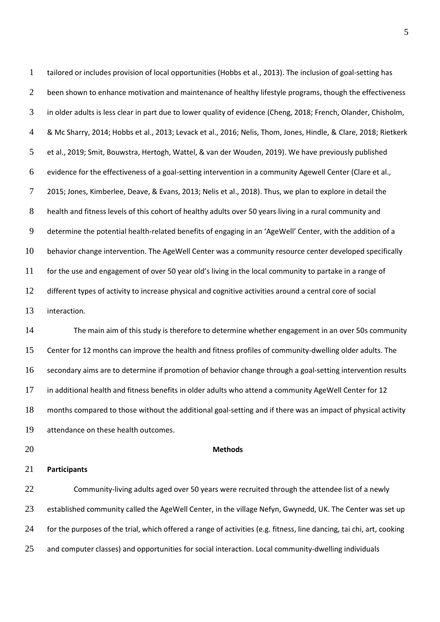tailored or includes provision of local opportunities (Hobbs et al., 2013). The inclusion of goal-setting has 2 been shown to enhance motivation and maintenance of healthy lifestyle programs, though the effectiveness in older adults is less clear in part due to lower quality of evidence (Cheng, 2018; French, Olander, Chisholm, & Mc Sharry, 2014; Hobbs et al., 2013; Levack et al., 2016; Nelis, Thom, Jones, Hindle, & Clare, 2018; Rietkerk et al., 2019; Smit, Bouwstra, Hertogh, Wattel, & van der Wouden, 2019). We have previously published evidence for the effectiveness of a goal-setting intervention in a community Agewell Center (Clare et al., 2015; Jones, Kimberlee, Deave, & Evans, 2013; Nelis et al., 2018). Thus, we plan to explore in detail the 8 health and fitness levels of this cohort of healthy adults over 50 years living in a rural community and 9 determine the potential health-related benefits of engaging in an 'AgeWell' Center, with the addition of a behavior change intervention. The AgeWell Center was a community resource center developed specifically 11 for the use and engagement of over 50 year old's living in the local community to partake in a range of different types of activity to increase physical and cognitive activities around a central core of social interaction. The main aim of this study is therefore to determine whether engagement in an over 50s community Center for 12 months can improve the health and fitness profiles of community-dwelling older adults. The secondary aims are to determine if promotion of behavior change through a goal-setting intervention results in additional health and fitness benefits in older adults who attend a community AgeWell Center for 12 months compared to those without the additional goal-setting and if there was an impact of physical activity attendance on these health outcomes.

**Methods** 

**Participants** 

Community-living adults aged over 50 years were recruited through the attendee list of a newly 23 established community called the AgeWell Center, in the village Nefyn, Gwynedd, UK. The Center was set up 24 for the purposes of the trial, which offered a range of activities (e.g. fitness, line dancing, tai chi, art, cooking and computer classes) and opportunities for social interaction. Local community-dwelling individuals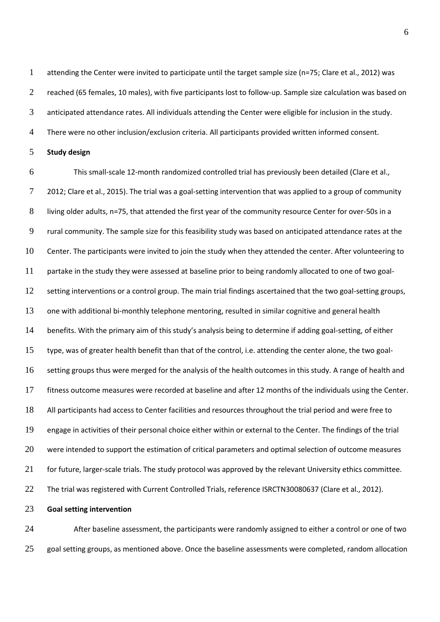attending the Center were invited to participate until the target sample size (n=75; Clare et al., 2012) was 2 reached (65 females, 10 males), with five participants lost to follow-up. Sample size calculation was based on anticipated attendance rates. All individuals attending the Center were eligible for inclusion in the study.

There were no other inclusion/exclusion criteria. All participants provided written informed consent.

**Study design** 

This small-scale 12-month randomized controlled trial has previously been detailed (Clare et al., 2012; Clare et al., 2015). The trial was a goal-setting intervention that was applied to a group of community living older adults, n=75, that attended the first year of the community resource Center for over-50s in a rural community. The sample size for this feasibility study was based on anticipated attendance rates at the Center. The participants were invited to join the study when they attended the center. After volunteering to partake in the study they were assessed at baseline prior to being randomly allocated to one of two goal-setting interventions or a control group. The main trial findings ascertained that the two goal-setting groups, one with additional bi-monthly telephone mentoring, resulted in similar cognitive and general health 14 benefits. With the primary aim of this study's analysis being to determine if adding goal-setting, of either type, was of greater health benefit than that of the control, i.e. attending the center alone, the two goal-setting groups thus were merged for the analysis of the health outcomes in this study. A range of health and fitness outcome measures were recorded at baseline and after 12 months of the individuals using the Center. All participants had access to Center facilities and resources throughout the trial period and were free to engage in activities of their personal choice either within or external to the Center. The findings of the trial were intended to support the estimation of critical parameters and optimal selection of outcome measures 21 for future, larger-scale trials. The study protocol was approved by the relevant University ethics committee. The trial was registered with Current Controlled Trials, reference ISRCTN30080637 (Clare et al., 2012).

**Goal setting intervention** 

24 After baseline assessment, the participants were randomly assigned to either a control or one of two 25 goal setting groups, as mentioned above. Once the baseline assessments were completed, random allocation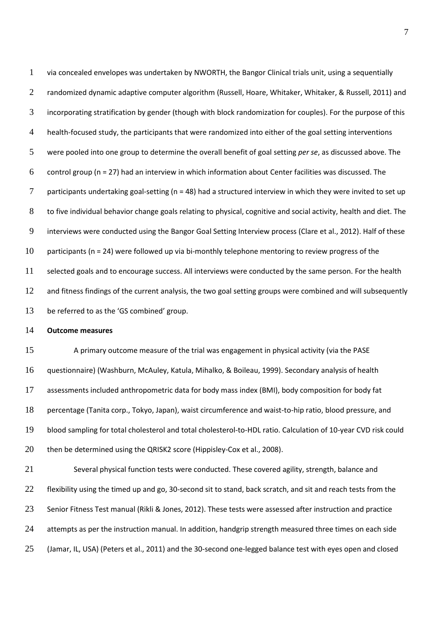via concealed envelopes was undertaken by NWORTH, the Bangor Clinical trials unit, using a sequentially 2 randomized dynamic adaptive computer algorithm (Russell, Hoare, Whitaker, Whitaker, & Russell, 2011) and incorporating stratification by gender (though with block randomization for couples). For the purpose of this health-focused study, the participants that were randomized into either of the goal setting interventions were pooled into one group to determine the overall benefit of goal setting *per se*, as discussed above. The 6 control group ( $n = 27$ ) had an interview in which information about Center facilities was discussed. The 7 participants undertaking goal-setting ( $n = 48$ ) had a structured interview in which they were invited to set up to five individual behavior change goals relating to physical, cognitive and social activity, health and diet. The interviews were conducted using the Bangor Goal Setting Interview process (Clare et al., 2012). Half of these participants (n = 24) were followed up via bi-monthly telephone mentoring to review progress of the selected goals and to encourage success. All interviews were conducted by the same person. For the health 12 and fitness findings of the current analysis, the two goal setting groups were combined and will subsequently 13 be referred to as the 'GS combined' group. **Outcome measures**  A primary outcome measure of the trial was engagement in physical activity (via the PASE questionnaire) (Washburn, McAuley, Katula, Mihalko, & Boileau, 1999). Secondary analysis of health assessments included anthropometric data for body mass index (BMI), body composition for body fat percentage (Tanita corp., Tokyo, Japan), waist circumference and waist-to-hip ratio, blood pressure, and blood sampling for total cholesterol and total cholesterol-to-HDL ratio. Calculation of 10-year CVD risk could 20 then be determined using the QRISK2 score (Hippisley-Cox et al., 2008). Several physical function tests were conducted. These covered agility, strength, balance and 22 flexibility using the timed up and go, 30-second sit to stand, back scratch, and sit and reach tests from the Senior Fitness Test manual (Rikli & Jones, 2012). These tests were assessed after instruction and practice

24 attempts as per the instruction manual. In addition, handgrip strength measured three times on each side

(Jamar, IL, USA) (Peters et al., 2011) and the 30-second one-legged balance test with eyes open and closed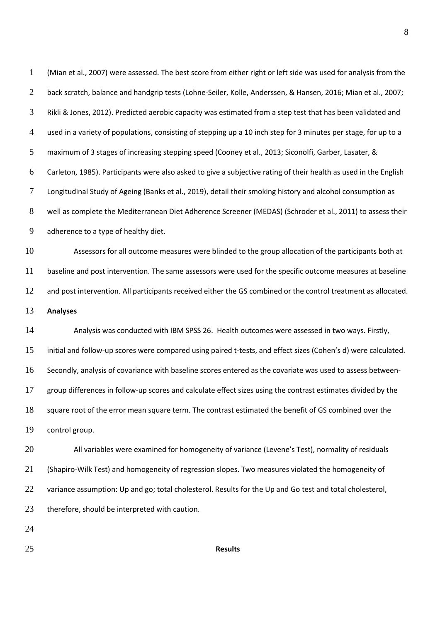(Mian et al., 2007) were assessed. The best score from either right or left side was used for analysis from the 2 back scratch, balance and handgrip tests (Lohne-Seiler, Kolle, Anderssen, & Hansen, 2016; Mian et al., 2007; Rikli & Jones, 2012). Predicted aerobic capacity was estimated from a step test that has been validated and used in a variety of populations, consisting of stepping up a 10 inch step for 3 minutes per stage, for up to a maximum of 3 stages of increasing stepping speed (Cooney et al., 2013; Siconolfi, Garber, Lasater, & Carleton, 1985). Participants were also asked to give a subjective rating of their health as used in the English Longitudinal Study of Ageing (Banks et al., 2019), detail their smoking history and alcohol consumption as well as complete the Mediterranean Diet Adherence Screener (MEDAS) (Schroder et al., 2011) to assess their adherence to a type of healthy diet. Assessors for all outcome measures were blinded to the group allocation of the participants both at baseline and post intervention. The same assessors were used for the specific outcome measures at baseline 12 and post intervention. All participants received either the GS combined or the control treatment as allocated. **Analyses**  Analysis was conducted with IBM SPSS 26. Health outcomes were assessed in two ways. Firstly, 15 initial and follow-up scores were compared using paired t-tests, and effect sizes (Cohen's d) were calculated. Secondly, analysis of covariance with baseline scores entered as the covariate was used to assess between-group differences in follow-up scores and calculate effect sizes using the contrast estimates divided by the square root of the error mean square term. The contrast estimated the benefit of GS combined over the control group. 20 All variables were examined for homogeneity of variance (Levene's Test), normality of residuals (Shapiro-Wilk Test) and homogeneity of regression slopes. Two measures violated the homogeneity of 22 variance assumption: Up and go; total cholesterol. Results for the Up and Go test and total cholesterol, 23 therefore, should be interpreted with caution.

### **Results**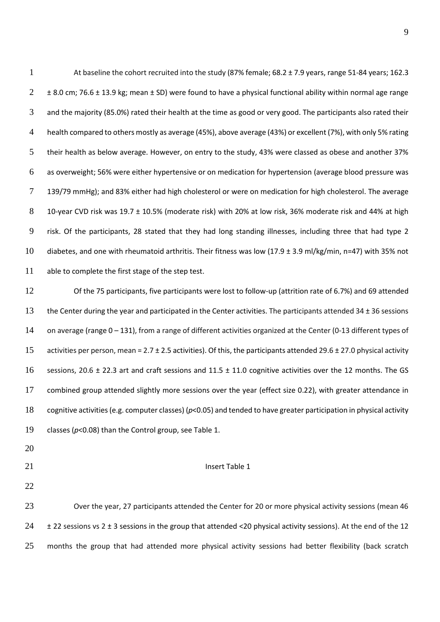At baseline the cohort recruited into the study (87% female; 68.2 ± 7.9 years, range 51-84 years; 162.3  $2 \pm 8.0$  cm; 76.6  $\pm$  13.9 kg; mean  $\pm$  SD) were found to have a physical functional ability within normal age range and the majority (85.0%) rated their health at the time as good or very good. The participants also rated their health compared to others mostly as average (45%), above average (43%) or excellent (7%), with only 5% rating their health as below average. However, on entry to the study, 43% were classed as obese and another 37% as overweight; 56% were either hypertensive or on medication for hypertension (average blood pressure was 7 139/79 mmHg); and 83% either had high cholesterol or were on medication for high cholesterol. The average 10-year CVD risk was 19.7 ± 10.5% (moderate risk) with 20% at low risk, 36% moderate risk and 44% at high risk. Of the participants, 28 stated that they had long standing illnesses, including three that had type 2 10 diabetes, and one with rheumatoid arthritis. Their fitness was low (17.9  $\pm$  3.9 ml/kg/min, n=47) with 35% not able to complete the first stage of the step test.

Of the 75 participants, five participants were lost to follow-up (attrition rate of 6.7%) and 69 attended 13 the Center during the year and participated in the Center activities. The participants attended 34 ± 36 sessions on average (range 0 – 131), from a range of different activities organized at the Center (0-13 different types of 15 activities per person, mean = 2.7  $\pm$  2.5 activities). Of this, the participants attended 29.6  $\pm$  27.0 physical activity 16 sessions, 20.6  $\pm$  22.3 art and craft sessions and 11.5  $\pm$  11.0 cognitive activities over the 12 months. The GS combined group attended slightly more sessions over the year (effect size 0.22), with greater attendance in cognitive activities (e.g. computer classes) (*p*<0.05) and tended to have greater participation in physical activity classes (*p*<0.08) than the Control group, see Table 1.

- 
- 
- 

#### 21 Insert Table 1

Over the year, 27 participants attended the Center for 20 or more physical activity sessions (mean 46  $24 \pm 22$  sessions vs  $2 \pm 3$  sessions in the group that attended <20 physical activity sessions). At the end of the 12 25 months the group that had attended more physical activity sessions had better flexibility (back scratch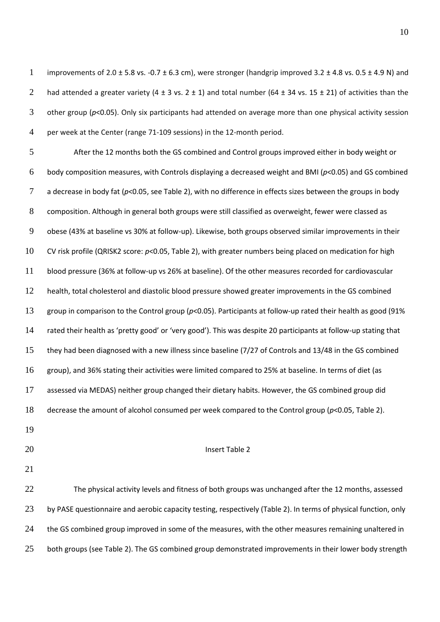1 improvements of 2.0  $\pm$  5.8 vs. -0.7  $\pm$  6.3 cm), were stronger (handgrip improved 3.2  $\pm$  4.8 vs. 0.5  $\pm$  4.9 N) and 2 had attended a greater variety (4  $\pm$  3 vs. 2  $\pm$  1) and total number (64  $\pm$  34 vs. 15  $\pm$  21) of activities than the other group (*p*<0.05). Only six participants had attended on average more than one physical activity session per week at the Center (range 71-109 sessions) in the 12-month period.

After the 12 months both the GS combined and Control groups improved either in body weight or body composition measures, with Controls displaying a decreased weight and BMI (*p*<0.05) and GS combined a decrease in body fat (*p*<0.05, see Table 2), with no difference in effects sizes between the groups in body composition. Although in general both groups were still classified as overweight, fewer were classed as obese (43% at baseline vs 30% at follow-up). Likewise, both groups observed similar improvements in their CV risk profile (QRISK2 score: *p*<0.05, Table 2), with greater numbers being placed on medication for high blood pressure (36% at follow-up vs 26% at baseline). Of the other measures recorded for cardiovascular health, total cholesterol and diastolic blood pressure showed greater improvements in the GS combined group in comparison to the Control group (*p*<0.05). Participants at follow-up rated their health as good (91% 14 rated their health as 'pretty good' or 'very good'). This was despite 20 participants at follow-up stating that they had been diagnosed with a new illness since baseline (7/27 of Controls and 13/48 in the GS combined group), and 36% stating their activities were limited compared to 25% at baseline. In terms of diet (as assessed via MEDAS) neither group changed their dietary habits. However, the GS combined group did decrease the amount of alcohol consumed per week compared to the Control group (*p*<0.05, Table 2).

- 
- 

#### 20 Insert Table 2

The physical activity levels and fitness of both groups was unchanged after the 12 months, assessed 23 by PASE questionnaire and aerobic capacity testing, respectively (Table 2). In terms of physical function, only 24 the GS combined group improved in some of the measures, with the other measures remaining unaltered in 25 both groups (see Table 2). The GS combined group demonstrated improvements in their lower body strength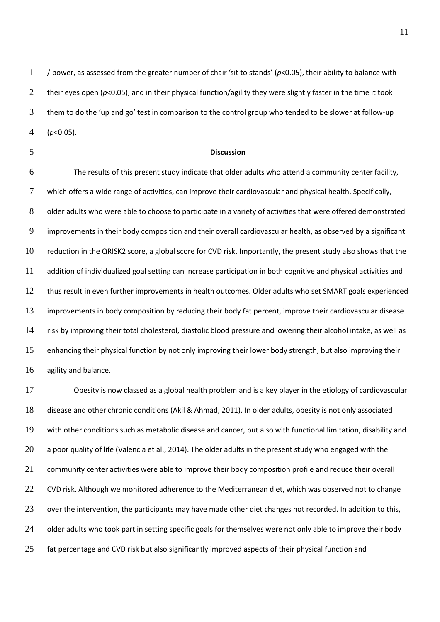1 / power, as assessed from the greater number of chair 'sit to stands' ( $p$ <0.05), their ability to balance with 2 their eyes open (p<0.05), and in their physical function/agility they were slightly faster in the time it took them to do the 'up and go' test in comparison to the control group who tended to be slower at follow-up (*p*<0.05).

#### **Discussion**

The results of this present study indicate that older adults who attend a community center facility, which offers a wide range of activities, can improve their cardiovascular and physical health. Specifically, 8 older adults who were able to choose to participate in a variety of activities that were offered demonstrated improvements in their body composition and their overall cardiovascular health, as observed by a significant reduction in the QRISK2 score, a global score for CVD risk. Importantly, the present study also shows that the addition of individualized goal setting can increase participation in both cognitive and physical activities and thus result in even further improvements in health outcomes. Older adults who set SMART goals experienced improvements in body composition by reducing their body fat percent, improve their cardiovascular disease risk by improving their total cholesterol, diastolic blood pressure and lowering their alcohol intake, as well as enhancing their physical function by not only improving their lower body strength, but also improving their agility and balance.

Obesity is now classed as a global health problem and is a key player in the etiology of cardiovascular disease and other chronic conditions (Akil & Ahmad, 2011). In older adults, obesity is not only associated with other conditions such as metabolic disease and cancer, but also with functional limitation, disability and a poor quality of life (Valencia et al., 2014). The older adults in the present study who engaged with the community center activities were able to improve their body composition profile and reduce their overall 22 CVD risk. Although we monitored adherence to the Mediterranean diet, which was observed not to change 23 over the intervention, the participants may have made other diet changes not recorded. In addition to this, 24 older adults who took part in setting specific goals for themselves were not only able to improve their body 25 fat percentage and CVD risk but also significantly improved aspects of their physical function and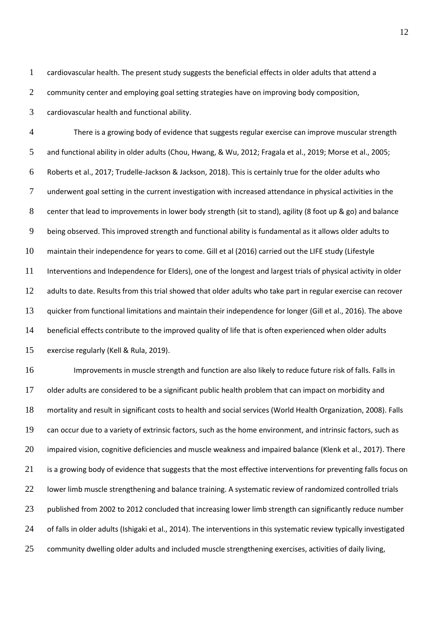cardiovascular health. The present study suggests the beneficial effects in older adults that attend a

2 community center and employing goal setting strategies have on improving body composition,

cardiovascular health and functional ability.

There is a growing body of evidence that suggests regular exercise can improve muscular strength and functional ability in older adults (Chou, Hwang, & Wu, 2012; Fragala et al., 2019; Morse et al., 2005; Roberts et al., 2017; Trudelle-Jackson & Jackson, 2018). This is certainly true for the older adults who underwent goal setting in the current investigation with increased attendance in physical activities in the center that lead to improvements in lower body strength (sit to stand), agility (8 foot up & go) and balance being observed. This improved strength and functional ability is fundamental as it allows older adults to maintain their independence for years to come. Gill et al (2016) carried out the LIFE study (Lifestyle Interventions and Independence for Elders), one of the longest and largest trials of physical activity in older 12 adults to date. Results from this trial showed that older adults who take part in regular exercise can recover quicker from functional limitations and maintain their independence for longer (Gill et al., 2016). The above beneficial effects contribute to the improved quality of life that is often experienced when older adults exercise regularly (Kell & Rula, 2019).

Improvements in muscle strength and function are also likely to reduce future risk of falls. Falls in older adults are considered to be a significant public health problem that can impact on morbidity and mortality and result in significant costs to health and social services (World Health Organization, 2008). Falls can occur due to a variety of extrinsic factors, such as the home environment, and intrinsic factors, such as impaired vision, cognitive deficiencies and muscle weakness and impaired balance (Klenk et al., 2017). There 21 is a growing body of evidence that suggests that the most effective interventions for preventing falls focus on 22 lower limb muscle strengthening and balance training. A systematic review of randomized controlled trials 23 published from 2002 to 2012 concluded that increasing lower limb strength can significantly reduce number 24 of falls in older adults (Ishigaki et al., 2014). The interventions in this systematic review typically investigated 25 community dwelling older adults and included muscle strengthening exercises, activities of daily living,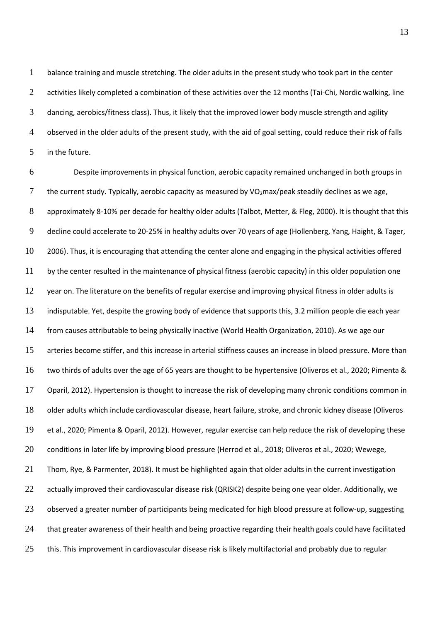balance training and muscle stretching. The older adults in the present study who took part in the center 2 activities likely completed a combination of these activities over the 12 months (Tai-Chi, Nordic walking, line dancing, aerobics/fitness class). Thus, it likely that the improved lower body muscle strength and agility observed in the older adults of the present study, with the aid of goal setting, could reduce their risk of falls in the future.

Despite improvements in physical function, aerobic capacity remained unchanged in both groups in 7 the current study. Typically, aerobic capacity as measured by VO<sub>2</sub>max/peak steadily declines as we age, 8 approximately 8-10% per decade for healthy older adults (Talbot, Metter, & Fleg, 2000). It is thought that this decline could accelerate to 20-25% in healthy adults over 70 years of age (Hollenberg, Yang, Haight, & Tager, 2006). Thus, it is encouraging that attending the center alone and engaging in the physical activities offered by the center resulted in the maintenance of physical fitness (aerobic capacity) in this older population one 12 year on. The literature on the benefits of regular exercise and improving physical fitness in older adults is indisputable. Yet, despite the growing body of evidence that supports this, 3.2 million people die each year from causes attributable to being physically inactive (World Health Organization, 2010). As we age our arteries become stiffer, and this increase in arterial stiffness causes an increase in blood pressure. More than two thirds of adults over the age of 65 years are thought to be hypertensive (Oliveros et al., 2020; Pimenta & Oparil, 2012). Hypertension is thought to increase the risk of developing many chronic conditions common in older adults which include cardiovascular disease, heart failure, stroke, and chronic kidney disease (Oliveros et al., 2020; Pimenta & Oparil, 2012). However, regular exercise can help reduce the risk of developing these conditions in later life by improving blood pressure (Herrod et al., 2018; Oliveros et al., 2020; Wewege, Thom, Rye, & Parmenter, 2018). It must be highlighted again that older adults in the current investigation actually improved their cardiovascular disease risk (QRISK2) despite being one year older. Additionally, we 23 observed a greater number of participants being medicated for high blood pressure at follow-up, suggesting 24 that greater awareness of their health and being proactive regarding their health goals could have facilitated 25 this. This improvement in cardiovascular disease risk is likely multifactorial and probably due to regular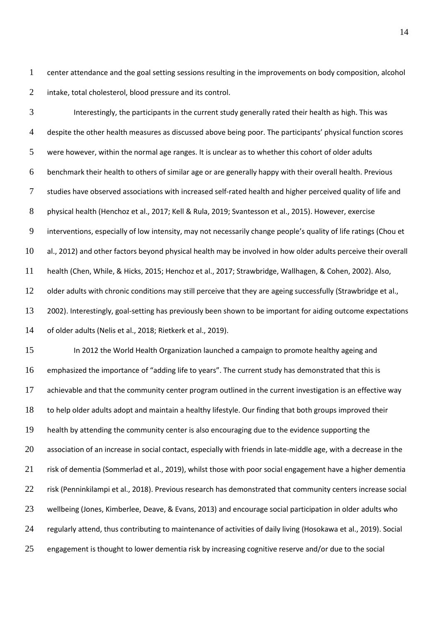center attendance and the goal setting sessions resulting in the improvements on body composition, alcohol intake, total cholesterol, blood pressure and its control.

Interestingly, the participants in the current study generally rated their health as high. This was 4 despite the other health measures as discussed above being poor. The participants' physical function scores were however, within the normal age ranges. It is unclear as to whether this cohort of older adults benchmark their health to others of similar age or are generally happy with their overall health. Previous studies have observed associations with increased self-rated health and higher perceived quality of life and physical health (Henchoz et al., 2017; Kell & Rula, 2019; Svantesson et al., 2015). However, exercise 9 interventions, especially of low intensity, may not necessarily change people's quality of life ratings (Chou et al., 2012) and other factors beyond physical health may be involved in how older adults perceive their overall health (Chen, While, & Hicks, 2015; Henchoz et al., 2017; Strawbridge, Wallhagen, & Cohen, 2002). Also, 12 older adults with chronic conditions may still perceive that they are ageing successfully (Strawbridge et al., 2002). Interestingly, goal-setting has previously been shown to be important for aiding outcome expectations of older adults (Nelis et al., 2018; Rietkerk et al., 2019).

In 2012 the World Health Organization launched a campaign to promote healthy ageing and 16 emphasized the importance of "adding life to years". The current study has demonstrated that this is achievable and that the community center program outlined in the current investigation is an effective way to help older adults adopt and maintain a healthy lifestyle. Our finding that both groups improved their health by attending the community center is also encouraging due to the evidence supporting the association of an increase in social contact, especially with friends in late-middle age, with a decrease in the risk of dementia (Sommerlad et al., 2019), whilst those with poor social engagement have a higher dementia risk (Penninkilampi et al., 2018). Previous research has demonstrated that community centers increase social wellbeing (Jones, Kimberlee, Deave, & Evans, 2013) and encourage social participation in older adults who regularly attend, thus contributing to maintenance of activities of daily living (Hosokawa et al., 2019). Social 25 engagement is thought to lower dementia risk by increasing cognitive reserve and/or due to the social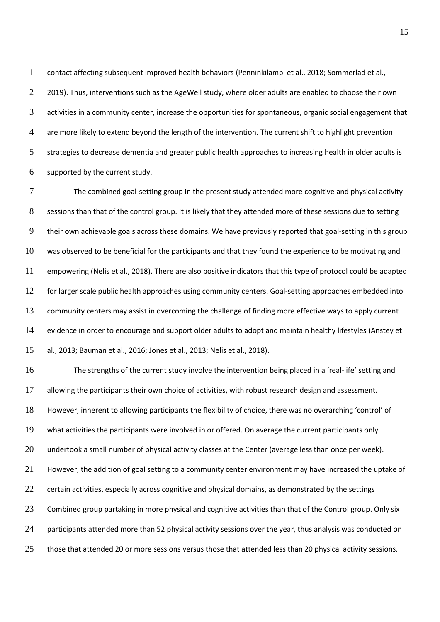contact affecting subsequent improved health behaviors (Penninkilampi et al., 2018; Sommerlad et al., 2 2019). Thus, interventions such as the AgeWell study, where older adults are enabled to choose their own activities in a community center, increase the opportunities for spontaneous, organic social engagement that are more likely to extend beyond the length of the intervention. The current shift to highlight prevention strategies to decrease dementia and greater public health approaches to increasing health in older adults is supported by the current study.

The combined goal-setting group in the present study attended more cognitive and physical activity 8 sessions than that of the control group. It is likely that they attended more of these sessions due to setting their own achievable goals across these domains. We have previously reported that goal-setting in this group was observed to be beneficial for the participants and that they found the experience to be motivating and empowering (Nelis et al., 2018). There are also positive indicators that this type of protocol could be adapted 12 for larger scale public health approaches using community centers. Goal-setting approaches embedded into 13 community centers may assist in overcoming the challenge of finding more effective ways to apply current evidence in order to encourage and support older adults to adopt and maintain healthy lifestyles (Anstey et al., 2013; Bauman et al., 2016; Jones et al., 2013; Nelis et al., 2018).

16 The strengths of the current study involve the intervention being placed in a 'real-life' setting and allowing the participants their own choice of activities, with robust research design and assessment. 18 However, inherent to allowing participants the flexibility of choice, there was no overarching 'control' of what activities the participants were involved in or offered. On average the current participants only undertook a small number of physical activity classes at the Center (average less than once per week). 21 However, the addition of goal setting to a community center environment may have increased the uptake of certain activities, especially across cognitive and physical domains, as demonstrated by the settings 23 Combined group partaking in more physical and cognitive activities than that of the Control group. Only six 24 participants attended more than 52 physical activity sessions over the year, thus analysis was conducted on 25 those that attended 20 or more sessions versus those that attended less than 20 physical activity sessions.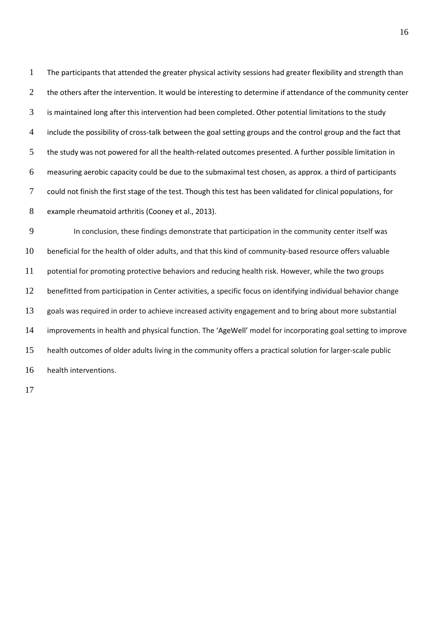The participants that attended the greater physical activity sessions had greater flexibility and strength than 2 the others after the intervention. It would be interesting to determine if attendance of the community center is maintained long after this intervention had been completed. Other potential limitations to the study include the possibility of cross-talk between the goal setting groups and the control group and the fact that the study was not powered for all the health-related outcomes presented. A further possible limitation in measuring aerobic capacity could be due to the submaximal test chosen, as approx. a third of participants could not finish the first stage of the test. Though this test has been validated for clinical populations, for example rheumatoid arthritis (Cooney et al., 2013).

In conclusion, these findings demonstrate that participation in the community center itself was beneficial for the health of older adults, and that this kind of community-based resource offers valuable potential for promoting protective behaviors and reducing health risk. However, while the two groups benefitted from participation in Center activities, a specific focus on identifying individual behavior change goals was required in order to achieve increased activity engagement and to bring about more substantial 14 improvements in health and physical function. The 'AgeWell' model for incorporating goal setting to improve health outcomes of older adults living in the community offers a practical solution for larger-scale public health interventions.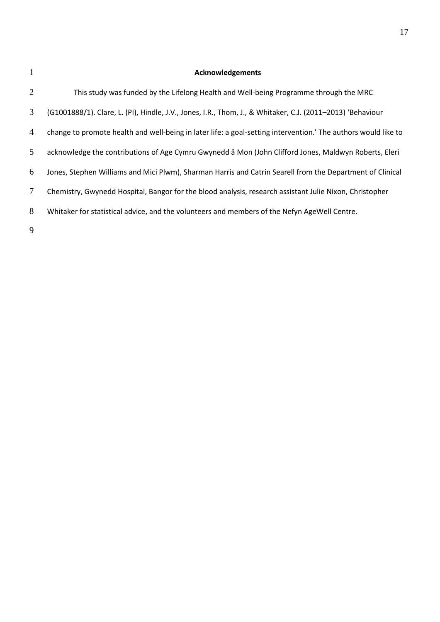## 1 **Acknowledgements**

| 2              | This study was funded by the Lifelong Health and Well-being Programme through the MRC                          |
|----------------|----------------------------------------------------------------------------------------------------------------|
| 3              | (G1001888/1). Clare, L. (PI), Hindle, J.V., Jones, I.R., Thom, J., & Whitaker, C.J. (2011–2013) 'Behaviour     |
| $\overline{4}$ | change to promote health and well-being in later life: a goal-setting intervention.' The authors would like to |
| 5              | acknowledge the contributions of Age Cymru Gwynedd â Mon (John Clifford Jones, Maldwyn Roberts, Eleri          |
| 6              | Jones, Stephen Williams and Mici Plwm), Sharman Harris and Catrin Searell from the Department of Clinical      |
| $\tau$         | Chemistry, Gwynedd Hospital, Bangor for the blood analysis, research assistant Julie Nixon, Christopher        |
| 8              | Whitaker for statistical advice, and the volunteers and members of the Nefyn AgeWell Centre.                   |
| 9              |                                                                                                                |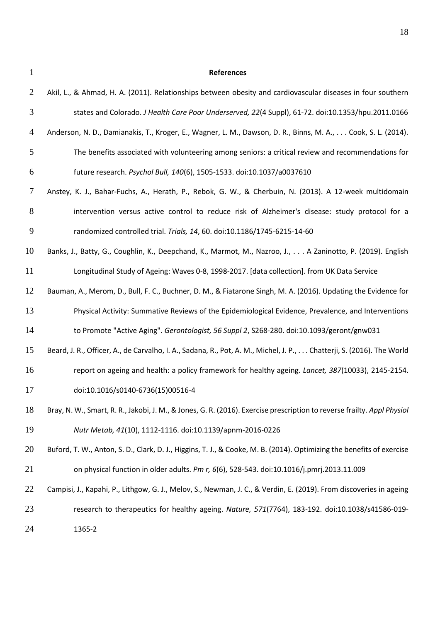## **References**

| $\overline{2}$ | Akil, L., & Ahmad, H. A. (2011). Relationships between obesity and cardiovascular diseases in four southern             |
|----------------|-------------------------------------------------------------------------------------------------------------------------|
| 3              | states and Colorado. J Health Care Poor Underserved, 22(4 Suppl), 61-72. doi:10.1353/hpu.2011.0166                      |
| $\overline{4}$ | Anderson, N. D., Damianakis, T., Kroger, E., Wagner, L. M., Dawson, D. R., Binns, M. A., Cook, S. L. (2014).            |
| 5              | The benefits associated with volunteering among seniors: a critical review and recommendations for                      |
| 6              | future research. Psychol Bull, 140(6), 1505-1533. doi:10.1037/a0037610                                                  |
| 7              | Anstey, K. J., Bahar-Fuchs, A., Herath, P., Rebok, G. W., & Cherbuin, N. (2013). A 12-week multidomain                  |
| $8\phantom{1}$ | intervention versus active control to reduce risk of Alzheimer's disease: study protocol for a                          |
| 9              | randomized controlled trial. Trials, 14, 60. doi:10.1186/1745-6215-14-60                                                |
| 10             | Banks, J., Batty, G., Coughlin, K., Deepchand, K., Marmot, M., Nazroo, J., A Zaninotto, P. (2019). English              |
| 11             | Longitudinal Study of Ageing: Waves 0-8, 1998-2017. [data collection]. from UK Data Service                             |
| 12             | Bauman, A., Merom, D., Bull, F. C., Buchner, D. M., & Fiatarone Singh, M. A. (2016). Updating the Evidence for          |
| 13             | Physical Activity: Summative Reviews of the Epidemiological Evidence, Prevalence, and Interventions                     |
| 14             | to Promote "Active Aging". Gerontologist, 56 Suppl 2, S268-280. doi:10.1093/geront/gnw031                               |
| 15             | Beard, J. R., Officer, A., de Carvalho, I. A., Sadana, R., Pot, A. M., Michel, J. P.,  Chatterji, S. (2016). The World  |
| 16             | report on ageing and health: a policy framework for healthy ageing. Lancet, 387(10033), 2145-2154.                      |
| 17             | doi:10.1016/s0140-6736(15)00516-4                                                                                       |
| 18             | Bray, N. W., Smart, R. R., Jakobi, J. M., & Jones, G. R. (2016). Exercise prescription to reverse frailty. Appl Physiol |
| 19             | Nutr Metab, 41(10), 1112-1116. doi:10.1139/apnm-2016-0226                                                               |
| 20             | Buford, T. W., Anton, S. D., Clark, D. J., Higgins, T. J., & Cooke, M. B. (2014). Optimizing the benefits of exercise   |
| 21             | on physical function in older adults. Pm r, 6(6), 528-543. doi:10.1016/j.pmrj.2013.11.009                               |
| 22             | Campisi, J., Kapahi, P., Lithgow, G. J., Melov, S., Newman, J. C., & Verdin, E. (2019). From discoveries in ageing      |
| 23             | research to therapeutics for healthy ageing. Nature, 571(7764), 183-192. doi:10.1038/s41586-019-                        |
| 24             | 1365-2                                                                                                                  |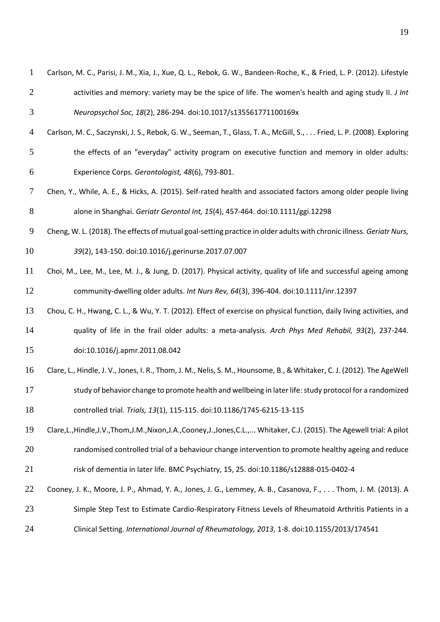| $\mathbf{1}$   | Carlson, M. C., Parisi, J. M., Xia, J., Xue, Q. L., Rebok, G. W., Bandeen-Roche, K., & Fried, L. P. (2012). Lifestyle         |
|----------------|-------------------------------------------------------------------------------------------------------------------------------|
| $\overline{2}$ | activities and memory: variety may be the spice of life. The women's health and aging study II. J Int                         |
| 3              | Neuropsychol Soc, 18(2), 286-294. doi:10.1017/s135561771100169x                                                               |
| $\overline{4}$ | Carlson, M. C., Saczynski, J. S., Rebok, G. W., Seeman, T., Glass, T. A., McGill, S., Fried, L. P. (2008). Exploring          |
| 5              | the effects of an "everyday" activity program on executive function and memory in older adults:                               |
| 6              | Experience Corps. Gerontologist, 48(6), 793-801.                                                                              |
| $\tau$         | Chen, Y., While, A. E., & Hicks, A. (2015). Self-rated health and associated factors among older people living                |
| 8              | alone in Shanghai. Geriatr Gerontol Int, 15(4), 457-464. doi:10.1111/ggi.12298                                                |
| 9              | Cheng, W. L. (2018). The effects of mutual goal-setting practice in older adults with chronic illness. Geriatr Nurs,          |
| 10             | 39(2), 143-150. doi:10.1016/j.gerinurse.2017.07.007                                                                           |
| 11             | Choi, M., Lee, M., Lee, M. J., & Jung, D. (2017). Physical activity, quality of life and successful ageing among              |
| 12             | community-dwelling older adults. Int Nurs Rev, 64(3), 396-404. doi:10.1111/inr.12397                                          |
| 13             | Chou, C. H., Hwang, C. L., & Wu, Y. T. (2012). Effect of exercise on physical function, daily living activities, and          |
| 14             | quality of life in the frail older adults: a meta-analysis. Arch Phys Med Rehabil, 93(2), 237-244.                            |
| 15             | doi:10.1016/j.apmr.2011.08.042                                                                                                |
| 16             | Clare, L., Hindle, J. V., Jones, I. R., Thom, J. M., Nelis, S. M., Hounsome, B., & Whitaker, C. J. (2012). The AgeWell        |
| 17             | study of behavior change to promote health and wellbeing in later life: study protocol for a randomized                       |
| 18             | controlled trial. Trials, 13(1), 115-115. doi:10.1186/1745-6215-13-115                                                        |
| 19             | Clare, L., Hindle, J.V., Thom, J.M., Nixon, J.A., Cooney, J., Jones, C.L.,  Whitaker, C.J. (2015). The Agewell trial: A pilot |
| 20             | randomised controlled trial of a behaviour change intervention to promote healthy ageing and reduce                           |
| 21             | risk of dementia in later life. BMC Psychiatry, 15, 25. doi:10.1186/s12888-015-0402-4                                         |
| 22             | Cooney, J. K., Moore, J. P., Ahmad, Y. A., Jones, J. G., Lemmey, A. B., Casanova, F., Thom, J. M. (2013). A                   |
| 23             | Simple Step Test to Estimate Cardio-Respiratory Fitness Levels of Rheumatoid Arthritis Patients in a                          |
| 24             | Clinical Setting. International Journal of Rheumatology, 2013, 1-8. doi:10.1155/2013/174541                                   |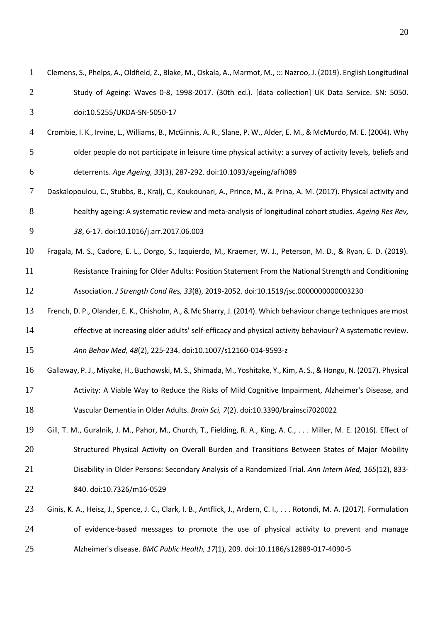| $\mathbf{1}$   | Clemens, S., Phelps, A., Oldfield, Z., Blake, M., Oskala, A., Marmot, M., ::: Nazroo, J. (2019). English Longitudinal |
|----------------|-----------------------------------------------------------------------------------------------------------------------|
| $\overline{2}$ | Study of Ageing: Waves 0-8, 1998-2017. (30th ed.). [data collection] UK Data Service. SN: 5050.                       |
| 3              | doi:10.5255/UKDA-SN-5050-17                                                                                           |
| $\overline{4}$ | Crombie, I. K., Irvine, L., Williams, B., McGinnis, A. R., Slane, P. W., Alder, E. M., & McMurdo, M. E. (2004). Why   |
| 5              | older people do not participate in leisure time physical activity: a survey of activity levels, beliefs and           |
| 6              | deterrents. Age Ageing, 33(3), 287-292. doi:10.1093/ageing/afh089                                                     |
| $\tau$         | Daskalopoulou, C., Stubbs, B., Kralj, C., Koukounari, A., Prince, M., & Prina, A. M. (2017). Physical activity and    |
| 8              | healthy ageing: A systematic review and meta-analysis of longitudinal cohort studies. Ageing Res Rev,                 |
| 9              | 38, 6-17. doi:10.1016/j.arr.2017.06.003                                                                               |
| 10             | Fragala, M. S., Cadore, E. L., Dorgo, S., Izquierdo, M., Kraemer, W. J., Peterson, M. D., & Ryan, E. D. (2019).       |
| 11             | Resistance Training for Older Adults: Position Statement From the National Strength and Conditioning                  |
| 12             | Association. J Strength Cond Res, 33(8), 2019-2052. doi:10.1519/jsc.0000000000003230                                  |
| 13             | French, D. P., Olander, E. K., Chisholm, A., & Mc Sharry, J. (2014). Which behaviour change techniques are most       |
| 14             | effective at increasing older adults' self-efficacy and physical activity behaviour? A systematic review.             |
| 15             | Ann Behav Med, 48(2), 225-234. doi:10.1007/s12160-014-9593-z                                                          |
| 16             | Gallaway, P. J., Miyake, H., Buchowski, M. S., Shimada, M., Yoshitake, Y., Kim, A. S., & Hongu, N. (2017). Physical   |
| 17             | Activity: A Viable Way to Reduce the Risks of Mild Cognitive Impairment, Alzheimer's Disease, and                     |
| 18             | Vascular Dementia in Older Adults. Brain Sci, 7(2). doi:10.3390/brainsci7020022                                       |
| 19             | Gill, T. M., Guralnik, J. M., Pahor, M., Church, T., Fielding, R. A., King, A. C., Miller, M. E. (2016). Effect of    |
| 20             | Structured Physical Activity on Overall Burden and Transitions Between States of Major Mobility                       |
| 21             | Disability in Older Persons: Secondary Analysis of a Randomized Trial. Ann Intern Med, 165(12), 833-                  |
| 22             | 840. doi:10.7326/m16-0529                                                                                             |
| 23             | Ginis, K. A., Heisz, J., Spence, J. C., Clark, I. B., Antflick, J., Ardern, C. I., Rotondi, M. A. (2017). Formulation |
| 24             | of evidence-based messages to promote the use of physical activity to prevent and manage                              |
| 25             | Alzheimer's disease. BMC Public Health, 17(1), 209. doi:10.1186/s12889-017-4090-5                                     |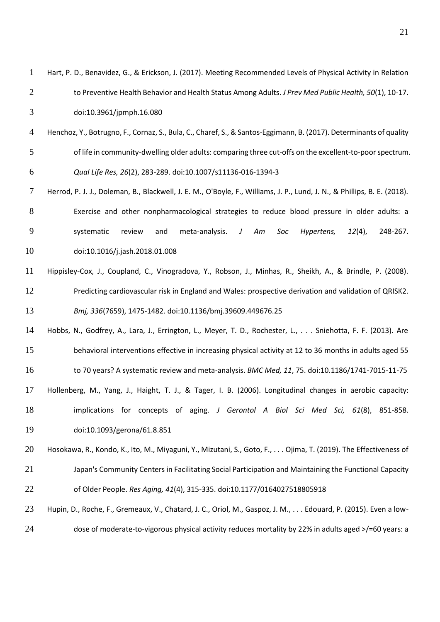| $\mathbf{1}$   | Hart, P. D., Benavidez, G., & Erickson, J. (2017). Meeting Recommended Levels of Physical Activity in Relation           |
|----------------|--------------------------------------------------------------------------------------------------------------------------|
| $\overline{2}$ | to Preventive Health Behavior and Health Status Among Adults. J Prev Med Public Health, 50(1), 10-17.                    |
| 3              | doi:10.3961/jpmph.16.080                                                                                                 |
| $\overline{4}$ | Henchoz, Y., Botrugno, F., Cornaz, S., Bula, C., Charef, S., & Santos-Eggimann, B. (2017). Determinants of quality       |
| 5              | of life in community-dwelling older adults: comparing three cut-offs on the excellent-to-poor spectrum.                  |
| 6              | Qual Life Res, 26(2), 283-289. doi:10.1007/s11136-016-1394-3                                                             |
| $\tau$         | Herrod, P. J. J., Doleman, B., Blackwell, J. E. M., O'Boyle, F., Williams, J. P., Lund, J. N., & Phillips, B. E. (2018). |
| 8              | Exercise and other nonpharmacological strategies to reduce blood pressure in older adults: a                             |
| 9              | meta-analysis.<br>$12(4)$ ,<br>248-267.<br>systematic<br>review<br>Soc<br>Hypertens,<br>and<br>J<br>Am                   |
| 10             | doi:10.1016/j.jash.2018.01.008                                                                                           |
| 11             | Hippisley-Cox, J., Coupland, C., Vinogradova, Y., Robson, J., Minhas, R., Sheikh, A., & Brindle, P. (2008).              |
| 12             | Predicting cardiovascular risk in England and Wales: prospective derivation and validation of QRISK2.                    |
| 13             | Bmj, 336(7659), 1475-1482. doi:10.1136/bmj.39609.449676.25                                                               |
| 14             | Hobbs, N., Godfrey, A., Lara, J., Errington, L., Meyer, T. D., Rochester, L., Sniehotta, F. F. (2013). Are               |
| 15             | behavioral interventions effective in increasing physical activity at 12 to 36 months in adults aged 55                  |
| 16             | to 70 years? A systematic review and meta-analysis. BMC Med, 11, 75. doi:10.1186/1741-7015-11-75                         |
| 17             | Hollenberg, M., Yang, J., Haight, T. J., & Tager, I. B. (2006). Longitudinal changes in aerobic capacity:                |
| 18             | implications for concepts of aging. J Gerontol A Biol Sci Med Sci, 61(8), 851-858.                                       |
| 19             | doi:10.1093/gerona/61.8.851                                                                                              |
| 20             | Hosokawa, R., Kondo, K., Ito, M., Miyaguni, Y., Mizutani, S., Goto, F., Ojima, T. (2019). The Effectiveness of           |
| 21             | Japan's Community Centers in Facilitating Social Participation and Maintaining the Functional Capacity                   |
| 22             | of Older People. Res Aging, 41(4), 315-335. doi:10.1177/0164027518805918                                                 |
| 23             | Hupin, D., Roche, F., Gremeaux, V., Chatard, J. C., Oriol, M., Gaspoz, J. M.,  Edouard, P. (2015). Even a low-           |
| 24             | dose of moderate-to-vigorous physical activity reduces mortality by 22% in adults aged >/=60 years: a                    |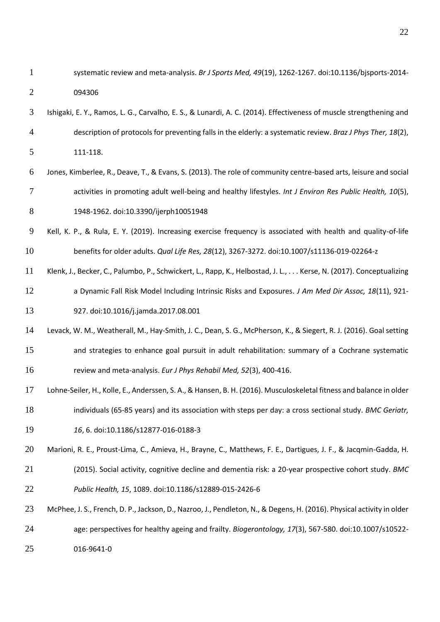systematic review and meta-analysis. *Br J Sports Med, 49*(19), 1262-1267. doi:10.1136/bjsports-2014- 094306

- Ishigaki, E. Y., Ramos, L. G., Carvalho, E. S., & Lunardi, A. C. (2014). Effectiveness of muscle strengthening and description of protocols for preventing falls in the elderly: a systematic review. *Braz J Phys Ther, 18*(2), 111-118.
- Jones, Kimberlee, R., Deave, T., & Evans, S. (2013). The role of community centre-based arts, leisure and social activities in promoting adult well-being and healthy lifestyles. *Int J Environ Res Public Health, 10*(5), 1948-1962. doi:10.3390/ijerph10051948
- Kell, K. P., & Rula, E. Y. (2019). Increasing exercise frequency is associated with health and quality-of-life benefits for older adults. *Qual Life Res, 28*(12), 3267-3272. doi:10.1007/s11136-019-02264-z
- Klenk, J., Becker, C., Palumbo, P., Schwickert, L., Rapp, K., Helbostad, J. L., . . . Kerse, N. (2017). Conceptualizing a Dynamic Fall Risk Model Including Intrinsic Risks and Exposures. *J Am Med Dir Assoc, 18*(11), 921- 927. doi:10.1016/j.jamda.2017.08.001
- Levack, W. M., Weatherall, M., Hay-Smith, J. C., Dean, S. G., McPherson, K., & Siegert, R. J. (2016). Goal setting and strategies to enhance goal pursuit in adult rehabilitation: summary of a Cochrane systematic review and meta-analysis. *Eur J Phys Rehabil Med, 52*(3), 400-416.
- Lohne-Seiler, H., Kolle, E., Anderssen, S. A., & Hansen, B. H. (2016). Musculoskeletal fitness and balance in older individuals (65-85 years) and its association with steps per day: a cross sectional study. *BMC Geriatr,*
- *16*, 6. doi:10.1186/s12877-016-0188-3
- Marioni, R. E., Proust-Lima, C., Amieva, H., Brayne, C., Matthews, F. E., Dartigues, J. F., & Jacqmin-Gadda, H. (2015). Social activity, cognitive decline and dementia risk: a 20-year prospective cohort study. *BMC Public Health, 15*, 1089. doi:10.1186/s12889-015-2426-6
- McPhee, J. S., French, D. P., Jackson, D., Nazroo, J., Pendleton, N., & Degens, H. (2016). Physical activity in older age: perspectives for healthy ageing and frailty. *Biogerontology, 17*(3), 567-580. doi:10.1007/s10522- 016-9641-0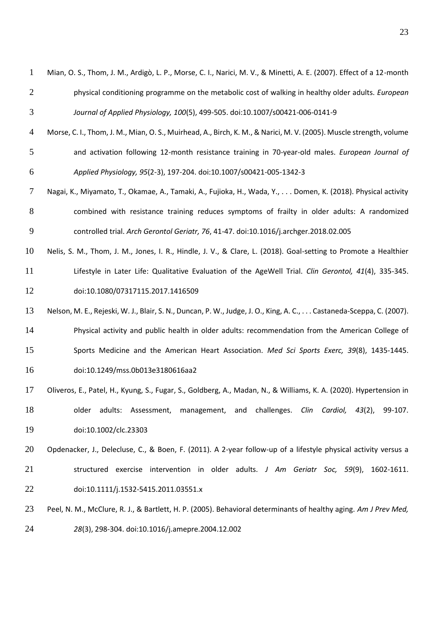| Mian, O. S., Thom, J. M., Ardigò, L. P., Morse, C. I., Narici, M. V., & Minetti, A. E. (2007). Effect of a 12-month |
|---------------------------------------------------------------------------------------------------------------------|
| physical conditioning programme on the metabolic cost of walking in healthy older adults. <i>European</i>           |
| Journal of Applied Physiology, 100(5), 499-505. doi:10.1007/s00421-006-0141-9                                       |

- Morse, C. I., Thom, J. M., Mian, O. S., Muirhead, A., Birch, K. M., & Narici, M. V. (2005). Muscle strength, volume and activation following 12-month resistance training in 70-year-old males. *European Journal of Applied Physiology, 95*(2-3), 197-204. doi:10.1007/s00421-005-1342-3
- Nagai, K., Miyamato, T., Okamae, A., Tamaki, A., Fujioka, H., Wada, Y., . . . Domen, K. (2018). Physical activity combined with resistance training reduces symptoms of frailty in older adults: A randomized controlled trial. *Arch Gerontol Geriatr, 76*, 41-47. doi:10.1016/j.archger.2018.02.005
- Nelis, S. M., Thom, J. M., Jones, I. R., Hindle, J. V., & Clare, L. (2018). Goal-setting to Promote a Healthier Lifestyle in Later Life: Qualitative Evaluation of the AgeWell Trial. *Clin Gerontol, 41*(4), 335-345. doi:10.1080/07317115.2017.1416509
- Nelson, M. E., Rejeski, W. J., Blair, S. N., Duncan, P. W., Judge, J. O., King, A. C., . . . Castaneda-Sceppa, C. (2007). Physical activity and public health in older adults: recommendation from the American College of Sports Medicine and the American Heart Association. *Med Sci Sports Exerc, 39*(8), 1435-1445. doi:10.1249/mss.0b013e3180616aa2
- Oliveros, E., Patel, H., Kyung, S., Fugar, S., Goldberg, A., Madan, N., & Williams, K. A. (2020). Hypertension in older adults: Assessment, management, and challenges. *Clin Cardiol, 43*(2), 99-107. doi:10.1002/clc.23303
- Opdenacker, J., Delecluse, C., & Boen, F. (2011). A 2-year follow-up of a lifestyle physical activity versus a structured exercise intervention in older adults. *J Am Geriatr Soc, 59*(9), 1602-1611. doi:10.1111/j.1532-5415.2011.03551.x
- Peel, N. M., McClure, R. J., & Bartlett, H. P. (2005). Behavioral determinants of healthy aging. *Am J Prev Med, 28*(3), 298-304. doi:10.1016/j.amepre.2004.12.002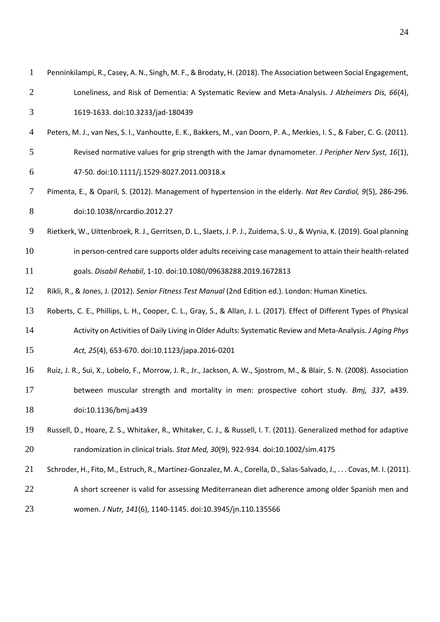| $\mathbf{1}$   | Penninkilampi, R., Casey, A. N., Singh, M. F., & Brodaty, H. (2018). The Association between Social Engagement,         |
|----------------|-------------------------------------------------------------------------------------------------------------------------|
| $\overline{2}$ | Loneliness, and Risk of Dementia: A Systematic Review and Meta-Analysis. J Alzheimers Dis, 66(4),                       |
| 3              | 1619-1633. doi:10.3233/jad-180439                                                                                       |
| 4              | Peters, M. J., van Nes, S. I., Vanhoutte, E. K., Bakkers, M., van Doorn, P. A., Merkies, I. S., & Faber, C. G. (2011).  |
| 5              | Revised normative values for grip strength with the Jamar dynamometer. J Peripher Nerv Syst, 16(1),                     |
| 6              | 47-50. doi:10.1111/j.1529-8027.2011.00318.x                                                                             |
| 7              | Pimenta, E., & Oparil, S. (2012). Management of hypertension in the elderly. Nat Rev Cardiol, 9(5), 286-296.            |
| 8              | doi:10.1038/nrcardio.2012.27                                                                                            |
| 9              | Rietkerk, W., Uittenbroek, R. J., Gerritsen, D. L., Slaets, J. P. J., Zuidema, S. U., & Wynia, K. (2019). Goal planning |
| 10             | in person-centred care supports older adults receiving case management to attain their health-related                   |
| 11             | goals. Disabil Rehabil, 1-10. doi:10.1080/09638288.2019.1672813                                                         |
| 12             | Rikli, R., & Jones, J. (2012). Senior Fitness Test Manual (2nd Edition ed.). London: Human Kinetics.                    |
| 13             | Roberts, C. E., Phillips, L. H., Cooper, C. L., Gray, S., & Allan, J. L. (2017). Effect of Different Types of Physical  |
| 14             | Activity on Activities of Daily Living in Older Adults: Systematic Review and Meta-Analysis. J Aging Phys               |
| 15             | Act, 25(4), 653-670. doi:10.1123/japa.2016-0201                                                                         |
| 16             | Ruiz, J. R., Sui, X., Lobelo, F., Morrow, J. R., Jr., Jackson, A. W., Sjostrom, M., & Blair, S. N. (2008). Association  |
| 17             | between muscular strength and mortality in men: prospective cohort study. Bmj, 337, a439.                               |
| 18             | doi:10.1136/bmj.a439                                                                                                    |
| 19             | Russell, D., Hoare, Z. S., Whitaker, R., Whitaker, C. J., & Russell, I. T. (2011). Generalized method for adaptive      |
| 20             | randomization in clinical trials. Stat Med, 30(9), 922-934. doi:10.1002/sim.4175                                        |
| 21             | Schroder, H., Fito, M., Estruch, R., Martinez-Gonzalez, M. A., Corella, D., Salas-Salvado, J., Covas, M. I. (2011).     |
| 22             | A short screener is valid for assessing Mediterranean diet adherence among older Spanish men and                        |
| 23             | women. J Nutr, 141(6), 1140-1145. doi:10.3945/jn.110.135566                                                             |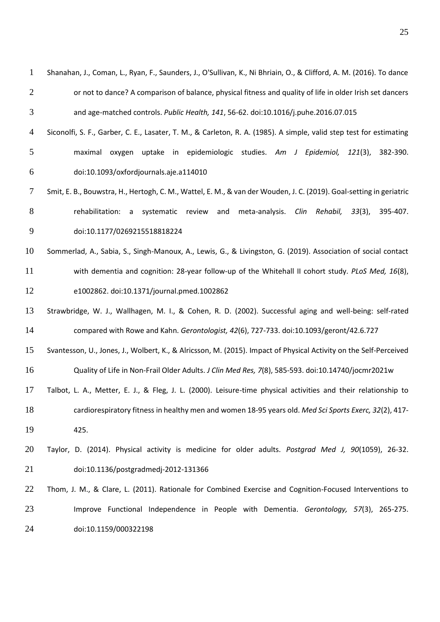| $\mathbf{1}$   | Shanahan, J., Coman, L., Ryan, F., Saunders, J., O'Sullivan, K., Ni Bhriain, O., & Clifford, A. M. (2016). To dance |
|----------------|---------------------------------------------------------------------------------------------------------------------|
| $\overline{2}$ | or not to dance? A comparison of balance, physical fitness and quality of life in older Irish set dancers           |
| 3              | and age-matched controls. Public Health, 141, 56-62. doi:10.1016/j.puhe.2016.07.015                                 |
| $\overline{4}$ | Siconolfi, S. F., Garber, C. E., Lasater, T. M., & Carleton, R. A. (1985). A simple, valid step test for estimating |
| 5              | uptake in epidemiologic studies. Am J<br>Epidemiol, 121(3),<br>maximal<br>382-390.<br>oxygen                        |
| 6              | doi:10.1093/oxfordjournals.aje.a114010                                                                              |
| 7              | Smit, E. B., Bouwstra, H., Hertogh, C. M., Wattel, E. M., & van der Wouden, J. C. (2019). Goal-setting in geriatric |
| 8              | rehabilitation:<br>and<br>meta-analysis.<br>systematic<br>review<br>Clin Rehabil,<br>$33(3)$ ,<br>395-407.<br>a     |
| 9              | doi:10.1177/0269215518818224                                                                                        |
| 10             | Sommerlad, A., Sabia, S., Singh-Manoux, A., Lewis, G., & Livingston, G. (2019). Association of social contact       |

- with dementia and cognition: 28-year follow-up of the Whitehall II cohort study. *PLoS Med, 16*(8), e1002862. doi:10.1371/journal.pmed.1002862
- Strawbridge, W. J., Wallhagen, M. I., & Cohen, R. D. (2002). Successful aging and well-being: self-rated compared with Rowe and Kahn. *Gerontologist, 42*(6), 727-733. doi:10.1093/geront/42.6.727
- Svantesson, U., Jones, J., Wolbert, K., & Alricsson, M. (2015). Impact of Physical Activity on the Self-Perceived Quality of Life in Non-Frail Older Adults. *J Clin Med Res, 7*(8), 585-593. doi:10.14740/jocmr2021w
- Talbot, L. A., Metter, E. J., & Fleg, J. L. (2000). Leisure-time physical activities and their relationship to
- cardiorespiratory fitness in healthy men and women 18-95 years old. *Med Sci Sports Exerc, 32*(2), 417-

425.

- Taylor, D. (2014). Physical activity is medicine for older adults. *Postgrad Med J, 90*(1059), 26-32. doi:10.1136/postgradmedj-2012-131366
- Thom, J. M., & Clare, L. (2011). Rationale for Combined Exercise and Cognition-Focused Interventions to Improve Functional Independence in People with Dementia. *Gerontology, 57*(3), 265-275. doi:10.1159/000322198